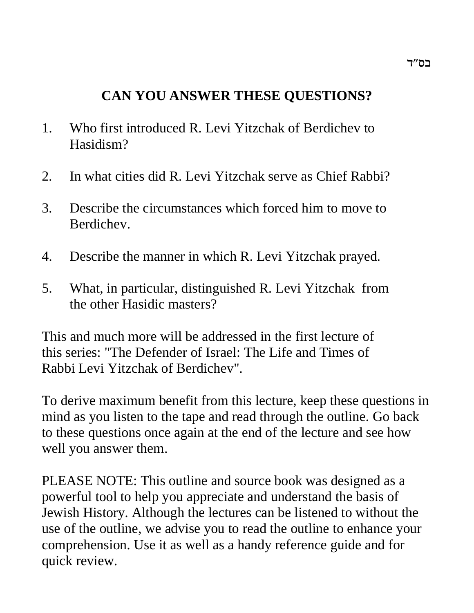# **CAN YOU ANSWER THESE QUESTIONS?**

- 1. Who first introduced R. Levi Yitzchak of Berdichev to Hasidism?
- 2. In what cities did R. Levi Yitzchak serve as Chief Rabbi?
- 3. Describe the circumstances which forced him to move to Berdichev.
- 4. Describe the manner in which R. Levi Yitzchak prayed.
- 5. What, in particular, distinguished R. Levi Yitzchak from the other Hasidic masters?

This and much more will be addressed in the first lecture of this series: "The Defender of Israel: The Life and Times of Rabbi Levi Yitzchak of Berdichev".

To derive maximum benefit from this lecture, keep these questions in mind as you listen to the tape and read through the outline. Go back to these questions once again at the end of the lecture and see how well you answer them.

PLEASE NOTE: This outline and source book was designed as a powerful tool to help you appreciate and understand the basis of Jewish History. Although the lectures can be listened to without the use of the outline, we advise you to read the outline to enhance your comprehension. Use it as well as a handy reference guide and for quick review.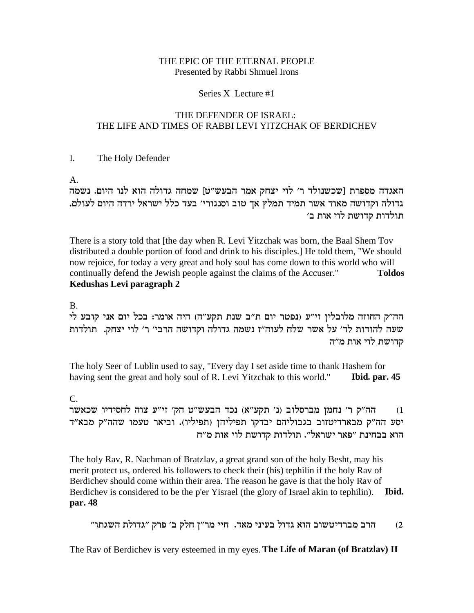#### THE EPIC OF THE ETERNAL PEOPLE Presented by Rabbi Shmuel Irons

#### Series X Lecture #1

#### THE DEFENDER OF ISRAEL: THE LIFE AND TIMES OF RABBI LEVI YITZCHAK OF BERDICHEV

#### The Holy Defender I.

 $A_{\cdot}$ 

האגדה מספרת [שכשנולד ר׳ לוי יצחק אמר הבעש״ט] שמחה גדולה הוא לנו היום. נשמה גדולה וקדושה מאוד אשר תמיד תמלץ אך טוב וסנגורי׳ בעד כלל ישראל ירדה היום לעולם. תולדות קדושת לוי אות ב׳

There is a story told that [the day when R. Levi Yitzchak was born, the Baal Shem Tov distributed a double portion of food and drink to his disciples.] He told them, "We should now rejoice, for today a very great and holy soul has come down to this world who will continually defend the Jewish people against the claims of the Accuser." **Toldos** Kedushas Levi paragraph 2

 $B<sub>r</sub>$ 

הה"ק החוזה מלובלין זי"ע (נפטר יום ת"ב שנת תקע"ה) היה אומר: בכל יום אני קובע לי שעה להודות לד׳ על אשר שלח לעוה״ז נשמה גדולה וקדושה הרבי׳ ר׳ לוי יצחק. תולדות קדושת לוי אות מ״ה

The holy Seer of Lublin used to say, "Every day I set aside time to thank Hashem for having sent the great and holy soul of R. Levi Yitzchak to this world." Ibid. par. 45

 $C_{\cdot}$ 

הה"ק ר' נחמן מברסלוב (נ' תקע"א) נכד הבעש"ט הק' זי"ע צוה לחסידיו שכאשר  $(1)$ יסע הה"ק מבארדיטזוב בגבוליהם יבדקו תפיליהן (תפיליו). וביאר טעמו שהה"ק מבא"ד הוא בבחינת "פאר ישראל". תולדות קדושת לוי אות מ"ח

The holy Rav, R. Nachman of Bratzlav, a great grand son of the holy Besht, may his merit protect us, ordered his followers to check their (his) tephilin if the holy Rav of Berdichev should come within their area. The reason he gave is that the holy Rav of Berdichev is considered to be the p'er Yisrael (the glory of Israel akin to tephilin). Ibid. par. 48

הרב מברדיטשוב הוא גדול בעיני מאד. חיי מר"ן חלק ב' פרק "גדולת השגתו"  $(2)$ 

The Rav of Berdichev is very esteemed in my eyes. The Life of Maran (of Bratzlav) II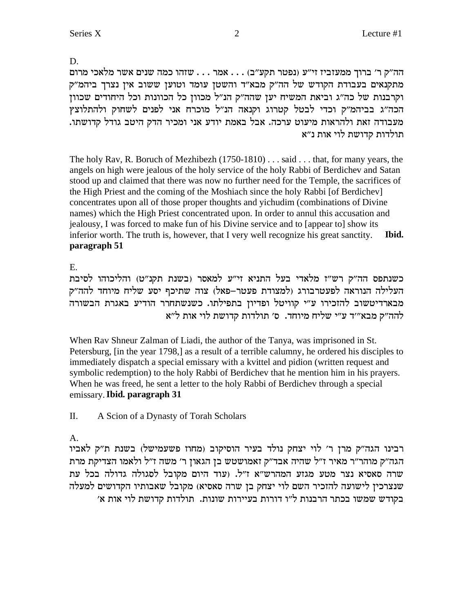D.

הה"ק ר' ברוך ממעזביז זי"ע (נפטר תקע"ב) . . . אמר . . . שזהו כמה שנים אשר מלאכי מרום מתקנאים בעבודת הקודש של הה"ק מבא"ד והשטן עומד וטוען ששוב אין נצרך ביהמ"ק וקרבנות של כה"ג וביאת המשיח יען שהה"ק הנ"ל מכוון כל הכוונות וכל היחודים שכוון הכה"ג בביהמ"ק וכדי לבטל קטרוג וקנאה הנ"ל מוכרח אני לפנים לשחוק ולהתלוצץ מעבודה זאת ולהראות מיעוט ערכה. אבל באמת יודע אני ומכיר הדק היטב גודל קדושתו. תולדות קדושת לוי אות נ״א

The holy Rav, R. Boruch of Mezhibezh  $(1750-1810)$ ... said... that, for many years, the angels on high were jealous of the holy service of the holy Rabbi of Berdichev and Satan stood up and claimed that there was now no further need for the Temple, the sacrifices of the High Priest and the coming of the Moshiach since the holy Rabbi [of Berdichev] concentrates upon all of those proper thoughts and yichudim (combinations of Divine names) which the High Priest concentrated upon. In order to annul this accusation and jealousy, I was forced to make fun of his Divine service and to [appear to] show its inferior worth. The truth is, however, that I very well recognize his great sanctity. Ibid. paragraph 51

E.

כשנתפס הה"ק רש"ז מלאדי בעל התניא זי"ע למאסר (בשנת תקנ"ט) והליכוהו לסיבת העלילה הנוראה לפעטרבורג (למצודת פעטר–פאל) צוה שתיכף יסע שליח מיוחד להה"ק מבארדיטשוב להזכירו ע"י קוויטל ופדיון בתפילתו. כשנשתחרר הודיע באגרת הבשורה להה"ק מבא"ד ע"י שליח מיוחד. ס' תולדות קדושת לוי אות ל"א

When Rav Shneur Zalman of Liadi, the author of the Tanya, was imprisoned in St. Petersburg, [in the year 1798,] as a result of a terrible calumny, he ordered his disciples to immediately dispatch a special emissary with a kvittel and pidion (written request and symbolic redemption) to the holy Rabbi of Berdichev that he mention him in his prayers. When he was freed, he sent a letter to the holy Rabbi of Berdichey through a special emissary. Ibid. paragraph 31

II. A Scion of a Dynasty of Torah Scholars

A.

רבינו הגה"ק מרן ר' לוי יצחק נולד בעיר הוסיקוב (מחוז פשעמישל) בשנת ת"ק לאביו הגה"ק מוהר"ר מאיר ז"ל שהיה אבד"ק זאמושטש בן הגאון ר' משה ז"ל ולאמו הצדיקת מרת שרה סאסיא נצר מטע מגזע המהרש"א ז"ל. (עוד היום מקובל לסגולה גדולה בכל עת שנצרכין לישועה להזכיר השם לוי יצחק בן שרה סאסיא) מקובל שאבותיו הקדושים למעלה בקודש שמשו בכתר הרבנות ל"ו דורות בעיירות שונות. תולדות קדושת לוי אות א'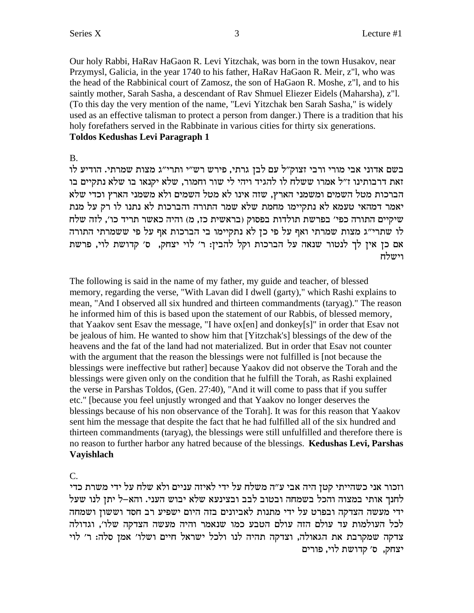Our holy Rabbi, HaRav HaGaon R. Levi Yitzchak, was born in the town Husakov, near Przymysl, Galicia, in the year 1740 to his father, HaRav HaGaon R. Meir, z"l, who was the head of the Rabbinical court of Zamosz, the son of HaGaon R. Moshe, z"l, and to his saintly mother, Sarah Sasha, a descendant of Rav Shmuel Eliezer Eidels (Maharsha), z"l. (To this day the very mention of the name, "Levi Yitzchak ben Sarah Sasha," is widely used as an effective talisman to protect a person from danger.) There is a tradition that his holy forefathers served in the Rabbinate in various cities for thirty six generations. **Toldos Kedushas Levi Paragraph 1** 

### $B<sub>r</sub>$

בשם אדוני אבי מורי ורבי זצוק״ל עם לבז גרתי, פירש רש״י ותרי״ג מצות שמרתי. הודיע לו זאת דרבותינו ז"ל אמרו ששלח לו להגיד ויהי לי שור וחמור, שלא יקנאו בו שלא נתקיים בו הברכות מטל השמים ומשמני הארץ, שזה אינו לא מטל השמים ולא משמני הארץ וכדי שלא יאמר דמהאי טעמא לא נתקיימו מחמת שלא שמר התורה והברכות לא נתנו לו רק על מנת שיקיים התורה כפי׳ בפרשת תולדות בפסוק (בראשית כז, מ) והיה כאשר תריד כו׳, לזה שלח לו שתרי"ג מצות שמרתי ואף על פי כן לא נתקיימו בי הברכות אף על פי ששמרתי התורה אם כן אין לך לנטור שנאה על הברכות וקל להבין: ר' לוי יצחק, ס' קדושת לוי, פרשת וישלח

The following is said in the name of my father, my guide and teacher, of blessed memory, regarding the verse, "With Lavan did I dwell (garty)," which Rashi explains to mean, "And I observed all six hundred and thirteen commandments (tarvag)." The reason he informed him of this is based upon the statement of our Rabbis, of blessed memory, that Yaakov sent Esay the message, "I have ox[en] and donkey[s]" in order that Esay not be jealous of him. He wanted to show him that [Yitzchak's] blessings of the dew of the heavens and the fat of the land had not materialized. But in order that Esay not counter with the argument that the reason the blessings were not fulfilled is [not because the blessings were ineffective but rather because Yaakov did not observe the Torah and the blessings were given only on the condition that he fulfill the Torah, as Rashi explained the verse in Parshas Toldos, (Gen. 27:40), "And it will come to pass that if you suffer etc." [because you feel unjustly wronged and that Yaakov no longer deserves the blessings because of his non observance of the Torah. It was for this reason that Yaakov sent him the message that despite the fact that he had fulfilled all of the six hundred and thirteen commandments (taryag), the blessings were still unfulfilled and therefore there is no reason to further harbor any hatred because of the blessings. **Kedushas Levi, Parshas** Vayishlach

### $C_{\cdot}$

וזכור אני כשהייתי קטן היה אבי ע"ה משלח על ידי לאיזה עניים ולא שלח על ידי משרת כדי לחנך אותי במצוה והכל בשמחה ובטוב לבב ובצינעא שלא יבוש העני. והא–ל יתן לנו שעל ידי מעשה הצדקה ובפרט על ידי מתנות לאביונים בזה היום ישפיע רב חסד וששון ושמחה לכל העולמות עד עולם הזה עולם הטבע כמו שנאמר והיה מעשה הצדקה שלו׳, וגדולה צדקה שמקרבת את הגאולה, וצדקה תהיה לנו ולכל ישראל חיים ושלו' אמן סלה: ר' לוי יצחק, ס' קדושת לוי, פורים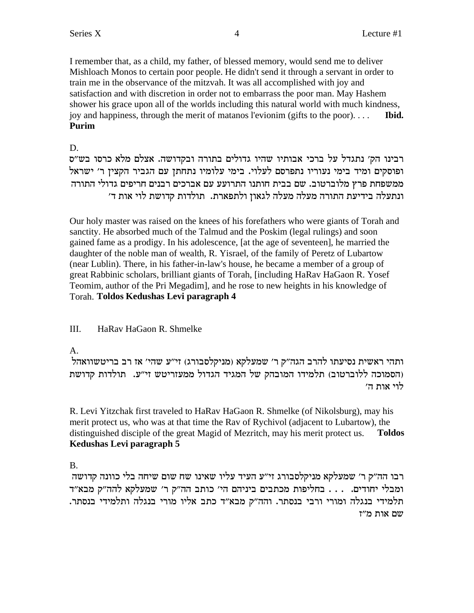I remember that, as a child, my father, of blessed memory, would send me to deliver Mishloach Monos to certain poor people. He didn't send it through a servant in order to train me in the observance of the mitzvah. It was all accomplished with joy and satisfaction and with discretion in order not to embarrass the poor man. May Hashem shower his grace upon all of the worlds including this natural world with much kindness, joy and happiness, through the merit of matanos l'evionim (gifts to the poor).... Ibid. Purim

## D.

רבינו הק׳ נתגדל על ברכי אבותיו שהיו גדולים בתורה ובקדושה. אצלם מלא כרסו בש״ס ופוסקים ומיד בימי נעוריו נתפרסם לעלוי. בימי עלומיו נתחתן עם הגביר הקצין ר׳ ישראל ממשפחת פרץ מלוברטוב. שם בבית חותנו התרועע עם אברכים רבנים חריפים גדולי התורה ונתעלה בידיעת התורה מעלה מעלה לגאוז ולתפארת. תולדות קדושת לוי אות ד׳

Our holy master was raised on the knees of his forefathers who were giants of Torah and sanctity. He absorbed much of the Talmud and the Poskim (legal rulings) and soon gained fame as a prodigy. In his adolescence, [at the age of seventeen], he married the daughter of the noble man of wealth, R. Yisrael, of the family of Peretz of Lubartow (near Lublin). There, in his father-in-law's house, he became a member of a group of great Rabbinic scholars, brilliant giants of Torah, [including HaRav HaGaon R. Yosef Teomim, author of the Pri Megadim, and he rose to new heights in his knowledge of Torah. Toldos Kedushas Levi paragraph 4

#### III. HaRav HaGaon R. Shmelke

 $\mathbf{A}$ 

ותהי ראשית נסיעתו להרב הגה"ק ר' שמעלקא (מניקלסבורג) זי"ע שהי' אז רב בריטשוואהל (הסמוכה ללוברטוב) תלמידו המובהק של המגיד הגדול ממעזריטש זי"ע. תולדות קדושת לוי אות ה׳

R. Levi Yitzchak first traveled to HaRav HaGaon R. Shmelke (of Nikolsburg), may his merit protect us, who was at that time the Ray of Rychivol (adjacent to Lubartow), the distinguished disciple of the great Magid of Mezritch, may his merit protect us. **Toldos** Kedushas Levi paragraph 5

 $\mathbf{B}$ .

רבו הה"ק ר' שמעלקא מניקלסבורג זי"ע העיד עליו שאינו שח שום שיחה בלי כוונה קדושה ומבלי יחודים. . . . בחליפות מכתבים ביניהם הי׳ כותב הה״ק ר׳ שמעלקא להה״ק מבא״ד תלמידי בנגלה ומורי ורבי בנסתר. והה"ק מבא"ד כתב אליו מורי בנגלה ותלמידי בנסתר. שם אות מ"ז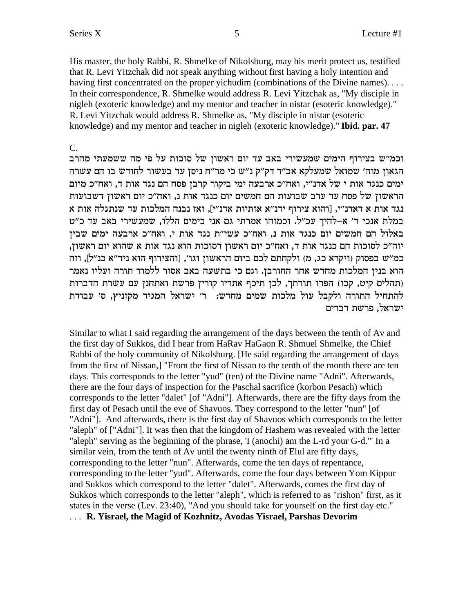His master, the holy Rabbi, R. Shmelke of Nikolsburg, may his merit protect us, testified that R. Levi Yitzchak did not speak anything without first having a holy intention and having first concentrated on the proper yichudim (combinations of the Divine names)... In their correspondence, R. Shmelke would address R. Levi Yitzchak as, "My disciple in nigleh (exoteric knowledge) and my mentor and teacher in nistar (esoteric knowledge)." R. Levi Yitzchak would address R. Shmelke as, "My disciple in nistar (esoteric knowledge) and my mentor and teacher in nigleh (exoteric knowledge)." Ibid. par. 47

#### $C_{\cdot}$

וכמ"ש בצירוף הימים שמעשירי באב עד יום ראשון של סוכות על פי מה ששמעתי מהרב הגאון מוה' שמואל שמעלקא אב"ד דק"ק נ"ש כי מר"ח ניסן עד בעשור לחודש בו הם עשרה ימים כנגד אות י של אדנ״י, ואח״כ ארבעה ימי ביקור קרבן פסח הם נגד אות ד, ואח״כ מיום הראשון של פסח עד ערב שבועות הם חמשים יום כנגד אות נ, ואח״כ יום ראשון דשבועות נגד אות א דאדנ״י, [והוא צירוף ידנ״א אותיות אדנ״י], ואז נבנה המלכות עד שנתגלה אות א במלת אנכי ד' א-להיך עכ"ל. וכמוהו אמרתי גם אני בימים הללו, שמעשירי באב עד כ"ט באלול הם חמשים יום כנגד אות נ, ואח"כ עשי"ת נגד אות י, ואח"כ ארבעה ימים שבין יוה״כ לסוכות הם כנגד אות ד, ואח״כ יום ראשון דסוכות הוא נגד אות א שהוא יום ראשון, כמ״ש בפסוק (ויקרא כג, מ) ולקחתם לכם ביום הראשון וגו׳, [והצירוף הוא ניד״א כנ״ל], וזה הוא בנין המלכות מחדש אחר החורבן. וגם כי בתשעה באב אסור ללמוד תורה ועליו נאמר (תהלים קיט, קכו) הפרו תורתך, לכן תיכף אתריו קורין פרשת ואתחנן עם עשרת הדברות להתחיל התורה ולקבל עול מלכות שמים מחדש: ד' ישראל המגיד מקזניץ, ס' עבודת ישראל. פרשת דברים

Similar to what I said regarding the arrangement of the days between the tenth of Ay and the first day of Sukkos, did I hear from HaRav HaGaon R. Shmuel Shmelke, the Chief Rabbi of the holy community of Nikolsburg. [He said regarding the arrangement of days from the first of Nissan,] "From the first of Nissan to the tenth of the month there are ten days. This corresponds to the letter "yud" (ten) of the Divine name "Adni". Afterwards, there are the four days of inspection for the Paschal sacrifice (korbon Pesach) which corresponds to the letter "dalet" [of "Adni"]. Afterwards, there are the fifty days from the first day of Pesach until the eve of Shavuos. They correspond to the letter "nun" [of "Adni"]. And afterwards, there is the first day of Shavuos which corresponds to the letter "aleph" of ["Adni"]. It was then that the kingdom of Hashem was revealed with the letter "aleph" serving as the beginning of the phrase, 'I (anochi) am the L-rd your G-d." In a similar vein, from the tenth of Av until the twenty ninth of Elul are fifty days, corresponding to the letter "nun". Afterwards, come the ten days of repentance, corresponding to the letter "yud". Afterwards, come the four days between Yom Kippur and Sukkos which correspond to the letter "dalet". Afterwards, comes the first day of Sukkos which corresponds to the letter "aleph", which is referred to as "rishon" first, as it states in the verse (Lev. 23:40), "And you should take for yourself on the first day etc." ... R. Yisrael, the Magid of Kozhnitz, Avodas Yisrael, Parshas Devorim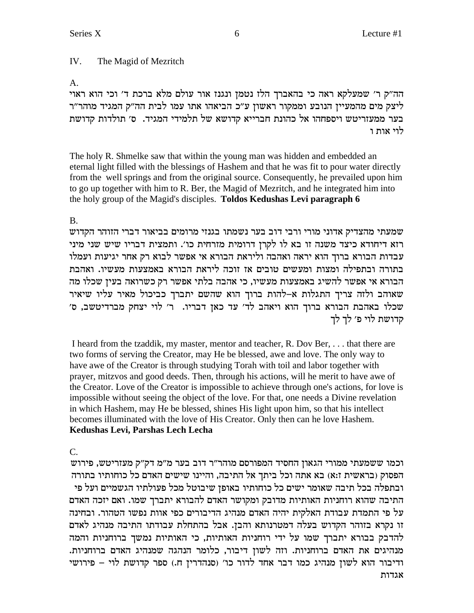#### IV. The Magid of Mezritch

 $A_{\cdot}$ 

הה"ק ר' שמעלקא ראה כי בהאברך הלז נטמן ונגנז אור עולם מלא ברכת ד' וכי הוא ראוי ליצק מים מהמעיין הנובע וממקור ראשון ע"כ הביאהו אתו עמו לבית הה"ק המגיד מוהר"ר בער ממעזריטש ויספחהו אל כהונת חברייא קדושא של תלמידי המגיד. ס׳ תולדות קדושת לוי אות ו

The holy R. Shmelke saw that within the young man was hidden and embedded an eternal light filled with the blessings of Hashem and that he was fit to pour water directly from the well springs and from the original source. Consequently, he prevailed upon him to go up together with him to R. Ber, the Magid of Mezritch, and he integrated him into the holy group of the Magid's disciples. Toldos Kedushas Levi paragraph 6

### **B.**

שמעתי מהצדיק אדוני מורי ורבי דוב בער נשמתו בגנזי מרומים בביאור דברי הזוהר הקדוש רזא דיחודא כיצד משנה זו בא לו לקרן דרומית מזרחית כו׳. ותמצית דבריו שיש שני מיני עבדות הבורא ברוך הוא יראה ואהבה וליראת הבורא אי אפשר לבוא רק אחר יגיעות ועמלו בתורה ובתפילה ומצות ומעשים טובים אז זוכה ליראת הבורא באמצעות מעשיו. ואהבת הבורא אי אפשר להשיג באמצעות מעשיו, כי אהבה בלתי אפשר רק כשרואה בעין שכלו מה שאוהב ולזה צריך התגלות א-להות ברוך הוא שהשם יתברך כביכול מאיר עליו שיאיר שכלו באהבת הבורא ברוך הוא ויאהב לד׳ עד כאן דבריו. ר׳ לוי יצחק מברדיטשב, ס׳ קדושת לוי פ׳ לך לך

I heard from the tzaddik, my master, mentor and teacher, R. Dov Ber, ... that there are two forms of serving the Creator, may He be blessed, awe and love. The only way to have awe of the Creator is through studying Torah with toil and labor together with prayer, mitzvos and good deeds. Then, through his actions, will he merit to have awe of the Creator. Love of the Creator is impossible to achieve through one's actions, for love is impossible without seeing the object of the love. For that, one needs a Divine revelation in which Hashem, may He be blessed, shines His light upon him, so that his intellect becomes illuminated with the love of His Creator. Only then can he love Hashem. Kedushas Levi, Parshas Lech Lecha

### $\mathcal{C}$ .

וכמו ששמעתי ממורי הגאון החסיד המפורסם מוהר"ר דוב בער מ"מ דק"ק מעזריטש, פירוש הפסוק (בראשית ז:א) בא אתה וכל ביתך אל התיבה, והיינו שישים האדם כל כוחותיו בתורה ובתפלה בכל תיבה שאומר ישים כל כוחותיו באופן שיבוטל מכל פעולתיו הגשמיים ועל פי התיבה שהוא רוחניות האותיות מדובק ומקושר האדם להבורא יתברך שמו. ואם יזכה האדם על פי התמדת עבודת האלקית יהיה האדם מנהיג הדיבורים כפי אוות נפשו הטהור. ובחינה זו נקרא בזוהר הקדוש בעלה דמטרנותא והבן. אבל בהתחלת עבודתו התיבה מנהיג לאדם להדבק בבורא יתברך שמו על ידי רוחניות האותיות, כי האותיות נמשך ברוחניות והמה מנהיגים את האדם ברוחניות. וזה לשון דיבור, כלומר הנהגה שמנהיג האדם ברוחניות. ודיבור הוא לשון מנהיג כמו דבר אחד לדור כו׳ (סנהדרין ח.) ספר קדושת לוי – פירושי אגדות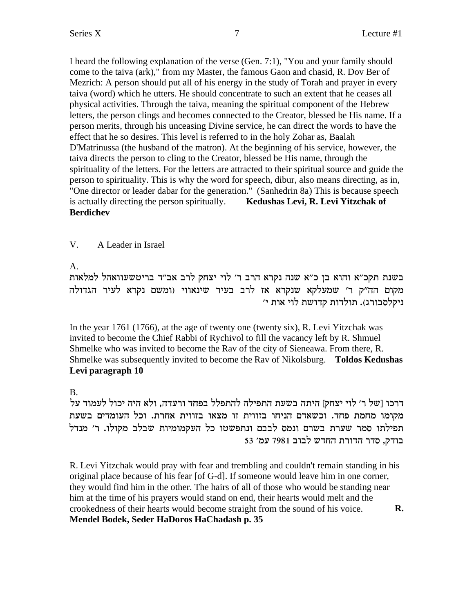I heard the following explanation of the verse (Gen. 7:1), "You and your family should come to the taiva (ark)," from my Master, the famous Gaon and chasid, R. Dov Ber of Mezrich: A person should put all of his energy in the study of Torah and prayer in every taiva (word) which he utters. He should concentrate to such an extent that he ceases all physical activities. Through the taiva, meaning the spiritual component of the Hebrew letters, the person clings and becomes connected to the Creator, blessed be His name. If a person merits, through his unceasing Divine service, he can direct the words to have the effect that he so desires. This level is referred to in the holy Zohar as, Baalah D'Matrinussa (the husband of the matron). At the beginning of his service, however, the taiva directs the person to cling to the Creator, blessed be His name, through the spirituality of the letters. For the letters are attracted to their spiritual source and guide the person to spirituality. This is why the word for speech, dibur, also means directing, as in, "One director or leader dabar for the generation." (Sanhedrin 8a) This is because speech is actually directing the person spiritually. **Kedushas Levi, R. Levi Yitzchak of Berdichev**

V. A Leader in Israel

# A.

בשנת תקכ"א והוא בן כ"א שנה נקרא הרב ר' לוי יצחק לרב אב"ד בריטשעוואהל למלאות מקום הה"ק ר' שמעלקא שנקרא אז לרב בעיר שינאווי (ומשם נקרא לעיר הגדולה 'ניקלסבורג). תולדות קדושת לוי אות י

In the year 1761 (1766), at the age of twenty one (twenty six), R. Levi Yitzchak was invited to become the Chief Rabbi of Rychivol to fill the vacancy left by R. Shmuel Shmelke who was invited to become the Rav of the city of Sieneawa. From there, R. Shmelke was subsequently invited to become the Rav of Nikolsburg. **Toldos Kedushas Levi paragraph 10**

# B.

דרכו [של ר׳ לוי יצחק] היתה בשעת התפילה להתפלל בפחד ורעדה, ולא היה יכול לעמוד על מקומו מחמת פחד. וכשאדם הניחו בזווית זו מצאו בזווית אחרת. וכל העומדים בשעת תפילתו סמר שערת בשרם ונמס לבבם ונתפשטו כל העקמומיות שבלב מקולו. ר' מנדל 153 'בודק, סדר הדורת החדש לבוב 7981 עמ

R. Levi Yitzchak would pray with fear and trembling and couldn't remain standing in his original place because of his fear [of G-d]. If someone would leave him in one corner, they would find him in the other. The hairs of all of those who would be standing near him at the time of his prayers would stand on end, their hearts would melt and the crookedness of their hearts would become straight from the sound of his voice. **R. Mendel Bodek, Seder HaDoros HaChadash p. 35**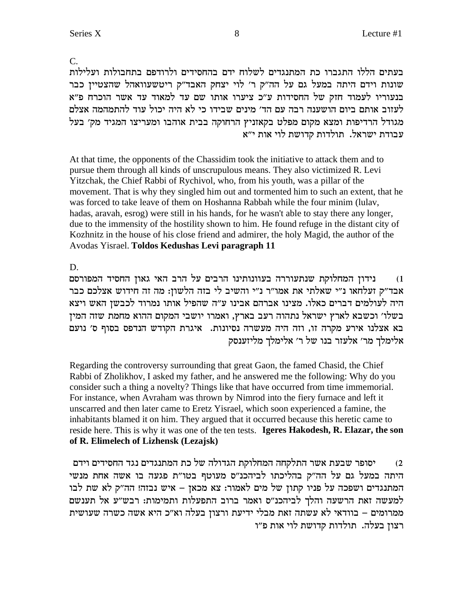C.

בעתים הללו התגברו כת המתנגדים לשלוח ידם בהחסידים ולרודפם בתחבולות ועלילות שונות וידם היתה במעל גם על הה"ק ר' לוי יצחק האבד"ק ריטשעוואהל שהצטיין כבר בנעוריו לעמוד חזק של החסידות ע"כ ציערו אותו שם עד למאוד עד אשר הוכרח פ"א לעזוב אותם ביום הושענה רבה עם הד׳ מינים שבידו כי לא היה יכול עוד להתמהמה אצלם מגודל הרדיפות ומצא מקום מפלט בקאזניץ הרחוקה בבית אוהבו ומעריצו המגיד מק' בעל עבודת ישראל. תולדות קדושת לוי אות י"א

At that time, the opponents of the Chassidim took the initiative to attack them and to pursue them through all kinds of unscrupulous means. They also victimized R. Levi Yitzchak, the Chief Rabbi of Rychivol, who, from his youth, was a pillar of the movement. That is why they singled him out and tormented him to such an extent, that he was forced to take leave of them on Hoshanna Rabbah while the four minim (lulav, hadas, aravah, esrog) were still in his hands, for he wasn't able to stay there any longer, due to the immensity of the hostility shown to him. He found refuge in the distant city of Kozhnitz in the house of his close friend and admirer, the holy Magid, the author of the Avodas Yisrael. Toldos Kedushas Levi paragraph 11

D.

נידון המחלוקת שנתעוררה בעוונותינו הרבים על הרב האי גאון החסיד המפורסם  $(1)$ אבד״ק זעלחאו נ״י שאלתי את אמו״ר נ״י והשיב לי בזה הלשון: מה זה חידוש אצלכם כבר היה לעולמים דברים כאלו. מצינו אברהם אבינו ע"ה שהפיל אותו נמרוד לכבשן האש ויצא בשלו׳ וכשבא לארץ ישראל נתהוה רעב בארץ, ואמרו יושבי המקום ההוא מחמת שזה המין בא אצלנו אירע מקרה זו, וזה היה מעשרה נסיונות. איגרת הקודש הנדפס בסוף ס׳ נועם אלימלך מר׳ אלעזר בנו של ר׳ אלימלך מליזענסק

Regarding the controversy surrounding that great Gaon, the famed Chasid, the Chief Rabbi of Zholikhov, I asked my father, and he answered me the following: Why do you consider such a thing a novelty? Things like that have occurred from time immemorial. For instance, when Avraham was thrown by Nimrod into the fiery furnace and left it unscarred and then later came to Eretz Yisrael, which soon experienced a famine, the inhabitants blamed it on him. They argued that it occurred because this heretic came to reside here. This is why it was one of the ten tests. Igeres Hakodesh, R. Elazar, the son of R. Elimelech of Lizhensk (Lezajsk)

יסופר שבעת אשר התלקחה המחלוקת הגדולה של כת המתנגדים נגד החסידים וידם  $(2)$ היתה במעל גם על הה"ק בהליכתו לביהכנ"ס מעוטף בטו"ת פגעה בו אשה אחת מנשי המתנגדים ושפכה על פניו קתון של מים לאמור: צא מכאן – איש נבזה! הה"ק לא שת לבו למעשה זאת הרשעה והלך לביהכנ"ס ואמר ברוב התפעלות ותמימות: רבש"ע אל תענשם ממרומים – בוודאי לא עשתה זאת מבלי ידיעת ורצון בעלה וא״כ היא אשה כשרה שעושית רצון בעלה. תולדות קדושת לוי אות פ״ו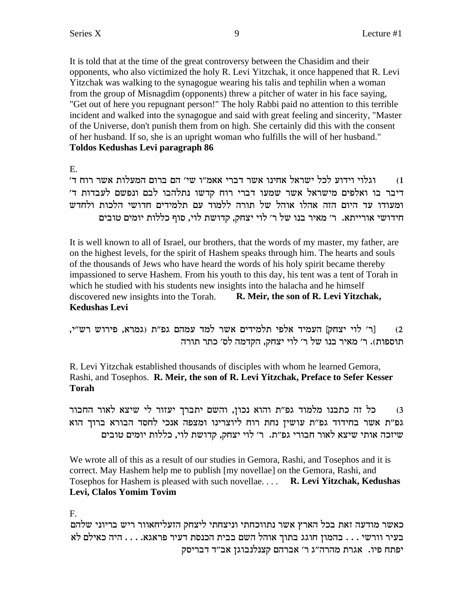It is told that at the time of the great controversy between the Chasidim and their opponents, who also victimized the holy R. Levi Yitzchak, it once happened that R. Levi Yitzchak was walking to the synagogue wearing his talis and tephilin when a woman from the group of Misnagdim (opponents) threw a pitcher of water in his face saying, "Get out of here you repugnant person!" The holy Rabbi paid no attention to this terrible incident and walked into the synagogue and said with great feeling and sincerity, "Master" of the Universe, don't punish them from on high. She certainly did this with the consent of her husband. If so, she is an upright woman who fulfills the will of her husband." Toldos Kedushas Levi paragraph 86

 $E_{\rm{L}}$ 

וגלוי וידוע לכל ישראל אחינו אשר דברי אאמ״ו שי׳ הם ברום המעלות אשר רוח ד׳  $(1)$ דיבר בו ואלפים מישראל אשר שמעו דברי רוח קדשו נתלהבו לבם ונפשם לעבדות ד׳ ומעודו עד היום הזה אהלו אוהל של תורה ללמוד עם תלמידים חדושי הלכות ולחדש חידושי אורייתא. ר׳ מאיר בנו של ר׳ לוי יצחק, קדושת לוי, סוף כללות יומים טובים

It is well known to all of Israel, our brothers, that the words of my master, my father, are on the highest levels, for the spirit of Hashem speaks through him. The hearts and souls of the thousands of Jews who have heard the words of his holy spirit became thereby impassioned to serve Hashem. From his youth to this day, his tent was a tent of Torah in which he studied with his students new insights into the halacha and he himself discovered new insights into the Torah. R. Meir, the son of R. Levi Yitzchak, **Kedushas Levi** 

[ר׳ לוי יצחק] העמיד אלפי תלמידים אשר למד עמהם גפ״ת (גמרא, פירוש רש״י,  $(2)$ תוספות). ר' מאיר בנו של ר' לוי יצחק, הקדמה לס' כתר תורה

R. Levi Yitzchak established thousands of disciples with whom he learned Gemora, Rashi, and Tosephos. R. Meir, the son of R. Levi Yitzchak, Preface to Sefer Kesser **Torah** 

כל זה כתבנו מלמוד גפ"ת והוא נכון, והשם יתברך יעזור לי שיצא לאור החבור  $(3)$ גפ״ת אשר בחידוד גפ״ת עושין נחת רוח ליוצרינו ומצפה אנכי לחסד הבורא ברוך הוא שיזכה אותי שיצא לאור חבורי גפ"ת. ר' לוי יצחק, קדושת לוי, כללות יומים טובים

We wrote all of this as a result of our studies in Gemora, Rashi, and Tosephos and it is correct. May Hashem help me to publish [my novellae] on the Gemora, Rashi, and Tosephos for Hashem is pleased with such novellae.... R. Levi Yitzchak, Kedushas Levi, Clalos Yomim Tovim

F.

כאשר מודעה זאת בכל הארץ אשר נתווכחתי וניצחתי ליצחק הזעליחאוור ריש בריוני שלהם  $\mathbf x$ בעיר וורשי . . . בהמון חוגג בתוך אוהל השם בבית הכנסת דעיר פראגא. . . . היה כאילם לא יפתח פיו. אגרת מהרה"ג ר' אברהם קצנלנבוגן אב"ד דבריסק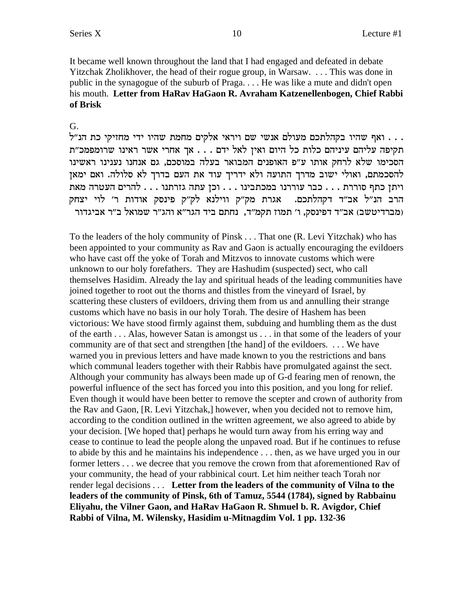It became well known throughout the land that I had engaged and defeated in debate Yitzchak Zholikhover, the head of their rogue group, in Warsaw. ... This was done in public in the synagogue of the suburb of Praga.... He was like a mute and didn't open his mouth. Letter from HaRav HaGaon R. Avraham Katzenellenbogen, Chief Rabbi of Brisk

G.

. . . ואף שהיו בקהלתכם מעולם אנשי שם ויראי אלקים מחמת שהיו ידי מחזיקי כת הנ"ל תקיפה עליהם עיניהם כלות כל היום ואיז לאל ידם . . . אך אחרי אשר ראינו שרומפמכ"ת הסכימו שלא לרחק אותו ע״פ האופנים המבואר בעלה במוסכם, גם אנחנו נענינו ראשינו להסכמתם, ואולי ישוב מדרך התועה ולא ידריך עוד את העם בדרך לא סלולה. ואם ימאן ויתן כתף סוררת . . . כבר עוררנו במכתבינו . . . וכן עתה גזרתנו . . . להרים העטרה מאת הרב הנ"ל אב"ד דקהלתכם. אגרת מק"ק ווילנא לק"ק פינסק אודות ר' לוי יצחק (מברדיטשב) אב"ד דפינסק, ו' תמוז תקמ"ד, נחתם ביד הגר"א והג"ר שמואל ב"ר אביגדור

To the leaders of the holy community of Pinsk . . . That one (R. Levi Yitzchak) who has been appointed to your community as Rav and Gaon is actually encouraging the evildoers who have cast off the yoke of Torah and Mitzvos to innovate customs which were unknown to our holy forefathers. They are Hashudim (suspected) sect, who call themselves Hasidim. Already the lay and spiritual heads of the leading communities have joined together to root out the thorns and thistles from the vineyard of Israel, by scattering these clusters of evildoers, driving them from us and annulling their strange customs which have no basis in our holy Torah. The desire of Hashem has been victorious: We have stood firmly against them, subduing and humbling them as the dust of the earth . . . Alas, however Satan is amongst us . . . in that some of the leaders of your community are of that sect and strengthen [the hand] of the evildoers. ... We have warned you in previous letters and have made known to you the restrictions and bans which communal leaders together with their Rabbis have promulgated against the sect. Although your community has always been made up of G-d fearing men of renown, the powerful influence of the sect has forced you into this position, and you long for relief. Even though it would have been better to remove the scepter and crown of authority from the Rav and Gaon, [R. Levi Yitzchak,] however, when you decided not to remove him, according to the condition outlined in the written agreement, we also agreed to abide by your decision. [We hoped that] perhaps he would turn away from his erring way and cease to continue to lead the people along the unpaved road. But if he continues to refuse to abide by this and he maintains his independence ... then, as we have urged you in our former letters . . . we decree that you remove the crown from that aforementioned Rav of your community, the head of your rabbinical court. Let him neither teach Torah nor render legal decisions . . . Letter from the leaders of the community of Vilna to the leaders of the community of Pinsk, 6th of Tamuz, 5544 (1784), signed by Rabbainu Eliyahu, the Vilner Gaon, and HaRav HaGaon R. Shmuel b. R. Avigdor, Chief Rabbi of Vilna, M. Wilensky, Hasidim u-Mitnagdim Vol. 1 pp. 132-36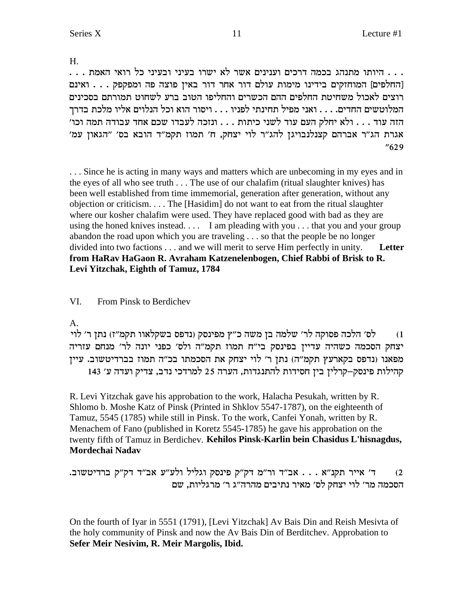H.

. . . היותו מתנהג בכמה דרכים וענינים אשר לא ישרו בעיני ובעיני כל רואי האמת. . . [החלפים] המוחזקים בידינו מימות עולם דור אחר דור באין פוצה פה ומפקפק . . . ואינם רוצים לאכול משחיטת החלפים ההם הכשרים והחליפו הטוב ברע לשחוט תמורתם בסכינים המלוטשים החדים. . . . ואני מפיל תחינתי לפניו . . . ויסור הוא וכל הנלוים אליו מלכת בדרך הזה עוד . . . ולא יחלק העם עוד לשני כיתות . . . ונזכה לעבדו שכם אחד עבודה תמה וכו' אגרת הג"ר אברהם קצנלנבויגן להג"ר לוי יצחק, ח' תמוז תקמ"ד הובא בס' "הגאון עמ'  $''629$ 

... Since he is acting in many ways and matters which are unbecoming in my eyes and in the eyes of all who see truth . . . The use of our chalafim (ritual slaughter knives) has been well established from time immemorial, generation after generation, without any objection or criticism. . . . The [Hasidim] do not want to eat from the ritual slaughter where our kosher chalafim were used. They have replaced good with bad as they are using the honed knives instead.... I am pleading with you... that you and your group abandon the road upon which you are traveling . . . so that the people be no longer divided into two factions . . . and we will merit to serve Him perfectly in unity. Letter from HaRav HaGaon R. Avraham Katzenelenbogen, Chief Rabbi of Brisk to R. Levi Yitzchak, Eighth of Tamuz, 1784

#### VI. From Pinsk to Berdichev

### $A<sub>1</sub>$

לס׳ הלכה פסוקה לר׳ שלמה בן משה כ״ץ מפינסק (נדפס בשקלאוו תקמ״ז) נתן ר׳ לוי  $(1)$ יצחק הסכמה כשהיה עדיין בפינסק בי"ח תמוז תקמ"ה ולס' כפני יונה לר' מנחם עזריה מפאנו (נדפס בקארעץ תקמ"ה) נתן ר' לוי יצחק את הסכמתו בכ"ה תמוז בברדיטשוב. עיין קהילות פינסק–קרליז ביז חסידות להתנגדות, הערה 25 למרדכי נדב, צדיק ועדה ע׳ 143

R. Levi Yitzchak gave his approbation to the work, Halacha Pesukah, written by R. Shlomo b. Moshe Katz of Pinsk (Printed in Shklov 5547-1787), on the eighteenth of Tamuz, 5545 (1785) while still in Pinsk. To the work, Canfei Yonah, written by R. Menachem of Fano (published in Koretz 5545-1785) he gave his approbation on the twenty fifth of Tamuz in Berdichev. Kehilos Pinsk-Karlin bein Chasidus L'hisnagdus, Mordechai Nadav

ד' אייר תקנ"א . . . אב"ד ור"מ דק"ק פינסק וגליל ולע"ע אב"ד דק"ק ברדיטשוב.  $(2)$ הסכמה מר׳ לוי יצחק לס׳ מאיר נתיבים מהרה״ג ר׳ מרגליות, שם

On the fourth of Iyar in 5551 (1791), [Levi Yitzchak] Av Bais Din and Reish Mesivta of the holy community of Pinsk and now the Av Bais Din of Berditchey. Approbation to Sefer Meir Nesivim, R. Meir Margolis, Ibid.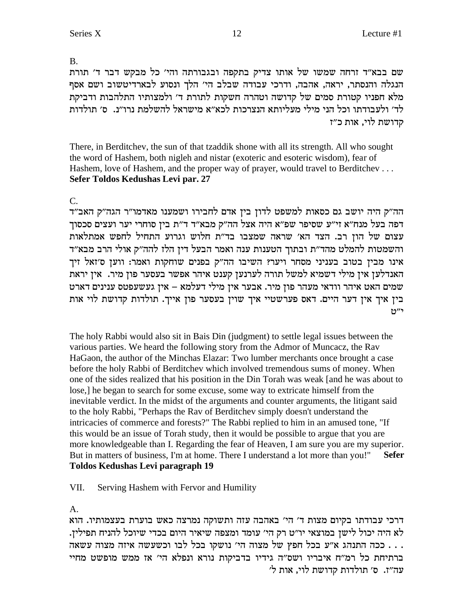**B.** 

שם בבא"ד זרחה שמשו של אותו צדיק בתקפה ובגבורתה והי' כל מבקש דבר ד' תורת הנגלה והנסתר, יראה, אהבה, ודרכי עבודה שבלב הי׳ הלך ונסוע לבארדיטשוב ושם אסף מלא חפניו קטורת סמים של קדושה וטהרה חשקות לתורת ד׳ ולמצותיו התלהבות ודביקת לד׳ ולעבודתו וכל הני מילי מעליותא הנצרכות לכא״א מישראל להשלמת נרו״נ. ס׳ תולדות קדושת לוי, אות כ״ז

There, in Berditchev, the sun of that tzaddik shone with all its strength. All who sought the word of Hashem, both nigleh and nistar (exoteric and esoteric wisdom), fear of Hashem, love of Hashem, and the proper way of prayer, would travel to Berditchev ... Sefer Toldos Kedushas Levi par. 27

 $\overline{C}$ .

הה"ק היה יושב גם כסאות למשפט לדון בין אדם לחבירו ושמענו מאדמו"ר הגה"ק האב"ד דפה בעל מנח"א זי"ע שסיפר שפ"א היה אצל הה"ק מבא"ד ד"ת בין סוחרי יער ועצים סכסוך עצום של הון רב. הצד הא׳ שראה שמצבו בד״ת חלוש וגרוע התחיל לחפש אמתלאות והשמטות להמלט מהד"ת ובתוך הטענות ענה ואמר הבעל דין הלז להה"ק אולי הרב מבא"ד אינו מבין בטוב בעניני מסחר ויער? השיבו הה"ק בפנים שוחקות ואמר: ווען ס'זאל זיך האנדלען אין מילי דשמיא למשל תורה לערנען קענט איהר אפשר בעסער פון מיר. אין יראת שמים האט איהר וודאי מעהר פון מיר. אבער אין מילי דעלמא $x - y$ ין געשעפטס ענינים דארט בין איך אין דער היים. דאס פערשטיי איך שוין בעסער פון אייך. תולדות קדושת לוי אות  $12''$ 

The holy Rabbi would also sit in Bais Din (judgment) to settle legal issues between the various parties. We heard the following story from the Admor of Muncacz, the Rav HaGaon, the author of the Minchas Elazar: Two lumber merchants once brought a case before the holy Rabbi of Berditchev which involved tremendous sums of money. When one of the sides realized that his position in the Din Torah was weak [and he was about to lose,] he began to search for some excuse, some way to extricate himself from the inevitable verdict. In the midst of the arguments and counter arguments, the litigant said to the holy Rabbi, "Perhaps the Rav of Berditchev simply doesn't understand the intricacies of commerce and forests?" The Rabbi replied to him in an amused tone, "If this would be an issue of Torah study, then it would be possible to argue that you are more knowledgeable than I. Regarding the fear of Heaven, I am sure you are my superior. But in matters of business, I'm at home. There I understand a lot more than you!" **Sefer** Toldos Kedushas Levi paragraph 19

VII. Serving Hashem with Fervor and Humility

 $A<sub>1</sub>$ 

דרכי עבודתו בקיום מצות ד' הי' באהבה עזה ותשוקה נמרצה כאש בוערת בעצמותיו. הוא לא היה יכול לישן במוצאי יו"ט רק הי' עומד ומצפה שיאיר היום בכדי שיוכל להניח תפילין. ... ככה התנהג א״ע בכל חפץ של מצוה הי׳ נושקו בכל לבו וכשעשה איזה מצוה עשאה ברתיחת כל רמ"ח איבריו ושס"ה גידיו בדביקות נורא ונפלא הי' אז ממש מופשט מחיי עה"ז. ס' תולדות קדושת לוי, אות ל'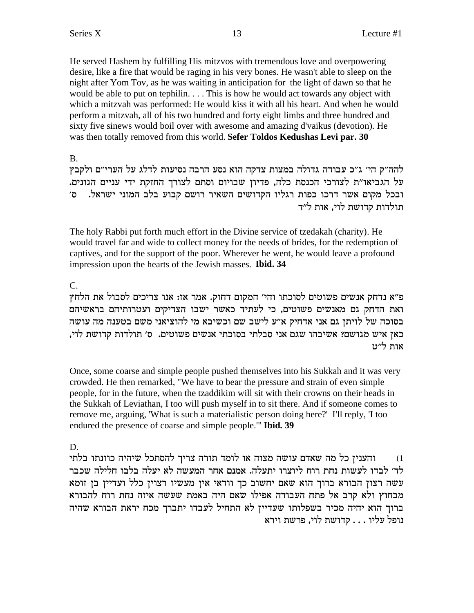He served Hashem by fulfilling His mitzvos with tremendous love and overpowering desire, like a fire that would be raging in his very bones. He wasn't able to sleep on the night after Yom Tov, as he was waiting in anticipation for the light of dawn so that he would be able to put on tephilin. . . . This is how he would act towards any object with which a mitzvah was performed: He would kiss it with all his heart. And when he would perform a mitzvah, all of his two hundred and forty eight limbs and three hundred and sixty five sinews would boil over with awesome and amazing d'vaikus (devotion). He was then totally removed from this world. Sefer Toldos Kedushas Levi par. 30

 $B<sub>1</sub>$ 

להה״ק הי׳ ג״כ עבודה גדולה במצות צדקה הוא נסע הרבה נסיעות לדלג על הערי״ם ולקבץ על הגביאו״ת לצורכי הכנסת כלה, פדיון שבויום וסתם לצורך החזקת ידי עניים הגונים. ובכל מקום אשר דרכו כפות רגליו הקדושים השאיר רושם קבוע בלב המוני ישראל. ס׳ תולדות קדושת לוי, אות ל״ד

The holy Rabbi put forth much effort in the Divine service of tzedakah (charity). He would travel far and wide to collect money for the needs of brides, for the redemption of captives, and for the support of the poor. Wherever he went, he would leave a profound impression upon the hearts of the Jewish masses. **Ibid. 34** 

C.

פ״א נדחק אנשים פשוטים לסוכתו והי׳ המקום דחוק. אמר אז: אנו צריכים לסבול את הלחץ ואת הדחק גם מאנשים פשוטים, כי לעתיד כאשר ישבו הצדיקים ועטרותיהם בראשיהם בסוכה של לויתן גם אני אדחיק א״ע לישב שם וכשיבא מי להוציאני משם בטענה מה עושה כאן איש מגושם? אשיבהו שגם אני סבלתי בסוכתי אנשים פשוטים. ס׳ תולדות קדושת לוי, אות ל״ט

Once, some coarse and simple people pushed themselves into his Sukkah and it was very crowded. He then remarked, "We have to bear the pressure and strain of even simple people, for in the future, when the tzaddikim will sit with their crowns on their heads in the Sukkah of Leviathan, I too will push myself in to sit there. And if someone comes to remove me, arguing, 'What is such a materialistic person doing here?' I'll reply, 'I too endured the presence of coarse and simple people." Ibid. 39

D.

והענין כל מה שאדם עושה מצוה או לומד תורה צריך להסתכל שיהיה כוונתו בלתי  $(1)$ לד׳ לבדו לעשות נחת רוח ליוצרו יתעלה. אמנם אחר המעשה לא יעלה בלבו חלילה שכבר עשה רצון הבורא ברוך הוא שאם יחשוב כך וודאי אין מעשיו רצוין כלל ועדיין בן זומא מבחוץ ולא קרב אל פתח העבודה אפילו שאם היה באמת שעשה איזה נחת רוח להבורא ברוך הוא יהיה מכיר בשפלותו שעדיין לא התחיל לעבדו יתברך מכח יראת הבורא שהיה נופל עליו . . . קדושת לוי, פרשת וירא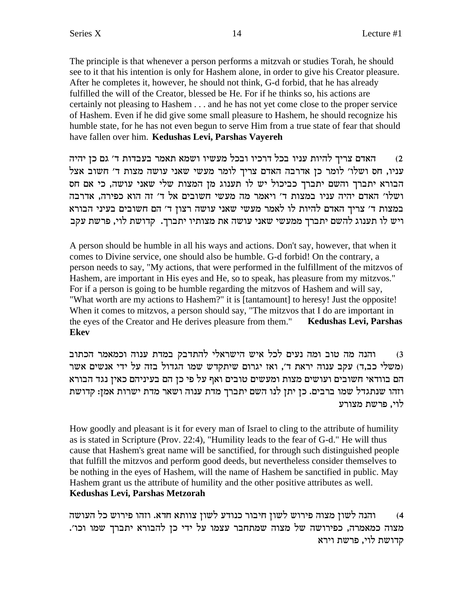The principle is that whenever a person performs a mitzvah or studies Torah, he should see to it that his intention is only for Hashem alone, in order to give his Creator pleasure. After he completes it, however, he should not think, G-d forbid, that he has already fulfilled the will of the Creator, blessed be He. For if he thinks so, his actions are certainly not pleasing to Hashem . . . and he has not yet come close to the proper service of Hashem. Even if he did give some small pleasure to Hashem, he should recognize his humble state, for he has not even begun to serve Him from a true state of fear that should have fallen over him. **Kedushas Levi, Parshas Vayereh**

האדם צריך להיות עניו בכל דרכיו ובכל מעשיו ושמא תאמר בעבדות ד׳ גם כן יהיה (2 עניו, חס ושלו' לומר כן אדרבה האדם צריך לומר מעשי שאני עושה מצות ד' חשוב אצל הבורא יתברך והשם יתברך כביכול יש לו תענוג מן המצות שלי שאני עושה, כי אם חס ושלו׳ האדם יהיה עניו במצות ד׳ ויאמר מה מעשי חשובים אל ד׳ זה הוא כפירה, אדרבה במצות ד' צריך האדם להיות לו לאמר מעשי שאני עושה רצון ד' הם חשובים בעיני הבורא ויש לו תענוג להשם יתברך ממעשי שאני עושה את מצותיו יתברך. קדושת לוי, פרשת עקב

A person should be humble in all his ways and actions. Don't say, however, that when it comes to Divine service, one should also be humble. G-d forbid! On the contrary, a person needs to say, "My actions, that were performed in the fulfillment of the mitzvos of Hashem, are important in His eyes and He, so to speak, has pleasure from my mitzvos." For if a person is going to be humble regarding the mitzvos of Hashem and will say, "What worth are my actions to Hashem?" it is [tantamount] to heresy! Just the opposite! When it comes to mitzvos, a person should say, "The mitzvos that I do are important in the eyes of the Creator and He derives pleasure from them." **Kedushas Levi, Parshas Ekev**

3) ההנה מה טוב ומה נעים לכל איש הישראלי להתדבק במדת ענוה וכמאמר הכתוב משלי כב,ד) עקב ענוה יראת ד', ואז יגרום שיתקדש שמו הגדול בזה על ידי אנשים אשר הם בוודאי חשובים ועושים מצות ומעשים טובים ואף על פי כן הם בעיניהם כאין נגד הבורא וזהו שנתגדל שמו ברבים. כן יתן לנו השם יתברך מדת ענוה ושאר מדת ישרות אמן: קדושת לוי, פרשת מצורע

How goodly and pleasant is it for every man of Israel to cling to the attribute of humility as is stated in Scripture (Prov. 22:4), "Humility leads to the fear of G-d." He will thus cause that Hashem's great name will be sanctified, for through such distinguished people that fulfill the mitzvos and perform good deeds, but nevertheless consider themselves to be nothing in the eyes of Hashem, will the name of Hashem be sanctified in public. May Hashem grant us the attribute of humility and the other positive attributes as well. **Kedushas Levi, Parshas Metzorah**

4) רהנה לשון מצוה פירוש לשון חיבור כנודע לשון צוותא חדא. וזהו פירוש כל העושה . מצוה כמאמרה, כפירושה של מצוה שמתחבר עצמו על ידי כן להבורא יתברך שמו וכו קדושת לוי, פרשת וירא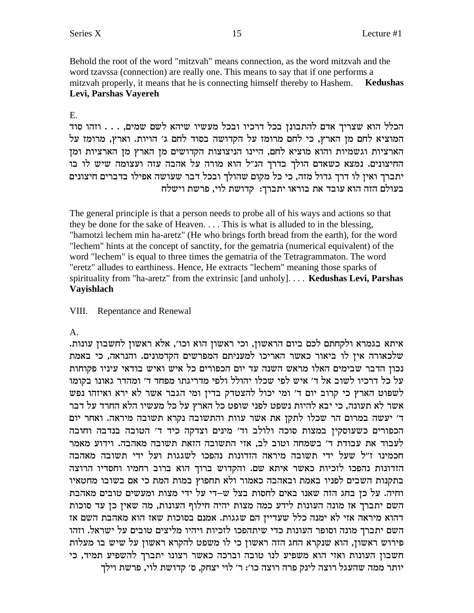Behold the root of the word "mitzvah" means connection, as the word mitzvah and the word tzavssa (connection) are really one. This means to say that if one performs a mitzvah properly, it means that he is connecting himself thereby to Hashem. Kedushas Levi, Parshas Vayereh

### $E_{\cdot}$

הכלל הוא שצריך אדם להתבונן בכל דרכיו ובכל מעשיו שיהא לשם שמים, . . . וזהו סוד המוציא לחם מן הארץ, כי לחם מרומז על הקדושה בסוד לחם ג׳ הויות. וארץ, מרומז על הארציות וגשמיות והוא מוציא לחם, היינו הניצוצות הקדושים מן הארץ מן הארציות ומן .<br>החיצונים. נמצא כשאדם הולך בדרך הנ"ל הוא מורה על אהבה עזה ועצומה שיש לו בו יתברך ואין לו דרך גדול מזה, כי כל מקום שהולך ובכל דבר שעושה אפילו בדברים חיצונים בעולם הזה הוא עובד את בוראו יתברך: קדושת לוי, פרשת וישלח

The general principle is that a person needs to probe all of his ways and actions so that they be done for the sake of Heaven. . . . This is what is alluded to in the blessing, "hamotzi lechem min ha-aretz" (He who brings forth bread from the earth), for the word "lechem" hints at the concept of sanctity, for the gematria (numerical equivalent) of the word "lechem" is equal to three times the gematria of the Tetragrammaton. The word "eretz" alludes to earthiness. Hence, He extracts "lechem" meaning those sparks of spirituality from "ha-aretz" from the extrinsic [and unholy].... Kedushas Levi, Parshas Vayishlach

# VIII. Repentance and Renewal

# $\mathbf{A}$ .

איתא בגמרא ולקחתם לכם ביום הראשון, וכי ראשון הוא וכו׳, אלא ראשון לחשבון עונות. שלכאורה אין לו ביאור כאשר האריכו למעניתם המפרשים הקדמונים. והנראה, כי באמת נכון הדבר שבימים האלו מראש השנה עד יום הכפורים כל איש ואיש בודאי עיניו פקוחות על כל דרכיו לשוב אל ד' איש לפי שכלו יהולל ולפי מדריגתו מפחד ד' ומהדר גאונו בקומו לשפוט הארץ כי קרוב יום ד' ומי יכול להצטדק בדין ומי הגבר אשר לא ירא ואיזהו נפש אשר לא תעונה, כי יבא להיות נשפט לפני שופט כל הארץ על כל מעשיו הלא החרד על דבר ד' יעשה במרום הר שכלו לתקן את אשר עוות והתשובה נקרא תשובה מיראה. ואחר יום הכפורים כשעוסקין במצות סוכה ולולב וד׳ מינים וצדקה כיד ד׳ הטובה בנדבה וחובה לעבוד את עבודת ד׳ בשמחה וטוב לב, אזי התשובה הזאת תשובה מאהבה. וידוע מאמר חכמינו ז״ל שעל ידי תשובה מיראה הזדונות נהפכו לשגגות ועל ידי תשובה מאהבה הזדונות נהפכו לזכיות כאשר איתא שם. והקדוש ברוך הוא ברוב רחמיו וחסדיו הרוצה בתקנות השבים לפניו באמת ובאהבה כאמור ולא תחפוץ במות המת כי אם בשובו מחטאיו וחיה. על כן בחג הזה שאנו באים לחסות בצל ש–די על ידי מצות ומעשים טובים מאהבת השם יתברך אז מונה העונות לידע כמה מצות יהיה חילוף העונות, מה שאין כן עד סוכות דהוא מיראה אזי לא ימנה כלל שעדיין הם שגגות. אמנם בסוכות שאז הוא מאהבת השם אז השם יתברך מונה וסופר העונות כדי שיתהפכו לזכיות ויהיו מליצים טובים על ישראל. וזהו פירוש ראשון, הוא שנקרא החג הזה ראשון כי לו משפט להקרא ראשון על שיש בו מעלות חשבון העונות ואזי הוא משפיע לנו טובה וברכה כאשר רצונו יתברך להשפיע תמיד, כי יותר ממה שהעגל רוצה לינק פרה רוצה כו׳: ר׳ לוי יצחק, ס׳ קדושת לוי, פרשת וילך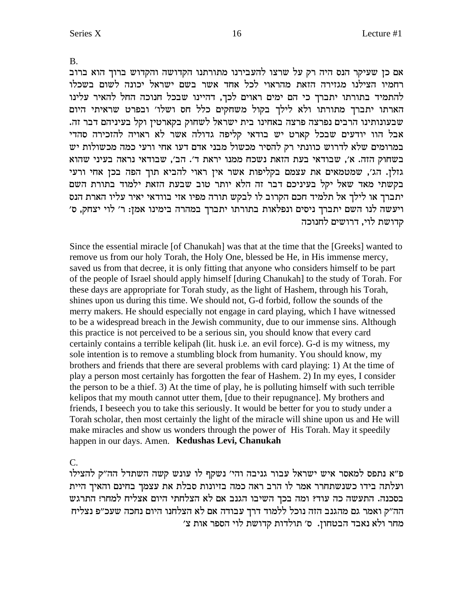$B<sub>1</sub>$ 

אם כן שעיקר הנס היה רק על שרצו להעבירנו מתורתנו הקדושה והקדוש ברוך הוא ברוב רחמיו הצילנו מגזירה הזאת מהראוי לכל אחד אשר בשם ישראל יכונה לשום בשכלו להתמיד בתורתו יתברך כי הם ימים ראוים לכך, דהיינו שבכל חנוכה החל להאיר עלינו הארתו יתברך מתורתו ולא לילך בקול משחקים כלל חס ושלו׳ ובפרט שראיתי היום שבעונותינו הרבים נפרצה פרצה באחינו בית ישראל לשחוק בקארטין וקל בעיניהם דבר זה. אבל הוו יודעים שבכל קארט יש בודאי קליפה גדולה אשר לא ראויה להזכירה סהדי במרומים שלא לדרוש כוונתי רק להסיר מכשול מבני אדם דעו אחי ורעי כמה מכשולות יש בשחוק הזה. א', שבודאי בעת הזאת נשכח ממנו יראת ד'. הב', שבודאי נראה בעיני שהוא גזלן. הג׳, שמטמאים את עצמם בקליפות אשר אין ראוי להביא תוך הפה בכן אחי ורעי בקשתי מאד שאל יקל בעיניכם דבר זה הלא יותר טוב שבעת הזאת ילמוד בתורת השם יתברך או לילך אל תלמיד חכם הקרוב לו לבקש תורה מפיו אזי בוודאי יאיר עליו הארת הנס ויעשה לנו השם יתברך ניסים ונפלאות בתורתו יתברך במהרה בימינו אמן: ר׳ לוי יצחק, ס׳ קדושת לוי, דרושים לחנוכה

Since the essential miracle [of Chanukah] was that at the time that the [Greeks] wanted to remove us from our holy Torah, the Holy One, blessed be He, in His immense mercy, saved us from that decree, it is only fitting that anyone who considers himself to be part of the people of Israel should apply himself [during Chanukah] to the study of Torah. For these days are appropriate for Torah study, as the light of Hashem, through his Torah, shines upon us during this time. We should not, G-d forbid, follow the sounds of the merry makers. He should especially not engage in card playing, which I have witnessed to be a widespread breach in the Jewish community, due to our immense sins. Although this practice is not perceived to be a serious sin, you should know that every card certainly contains a terrible kelipah (lit. husk i.e. an evil force). G-d is my witness, my sole intention is to remove a stumbling block from humanity. You should know, my brothers and friends that there are several problems with card playing: 1) At the time of play a person most certainly has forgotten the fear of Hashem. 2) In my eyes, I consider the person to be a thief. 3) At the time of play, he is polluting himself with such terrible kelipos that my mouth cannot utter them, [due to their repugnance]. My brothers and friends, I beseech you to take this seriously. It would be better for you to study under a Torah scholar, then most certainly the light of the miracle will shine upon us and He will make miracles and show us wonders through the power of His Torah. May it speedily happen in our days. Amen. Kedushas Levi, Chanukah

C.

פ"א נתפס למאסר איש ישראל עבור גניבה והי' נשקף לו עונש קשה השתדל הה"ק להצילו ועלתה בידו כשנשתחרר אמר לו הרב ראה כמה בזיונות סבלת את עצמך בחינם והאיך היית בסכנה. התעשה כה עוד? ומה בכך השיבו הגנב אם לא הצלחתי היום אצליח למחר! התרגש הה״ק ואמר גם מהגנב הזה נוכל ללמוד דרך עבודה אם לא הצלחנו היום נחכה שעכ״פ נצליח מחר ולא נאבד הבטחון. ס׳ תולדות קדושת לוי הספר אות צ׳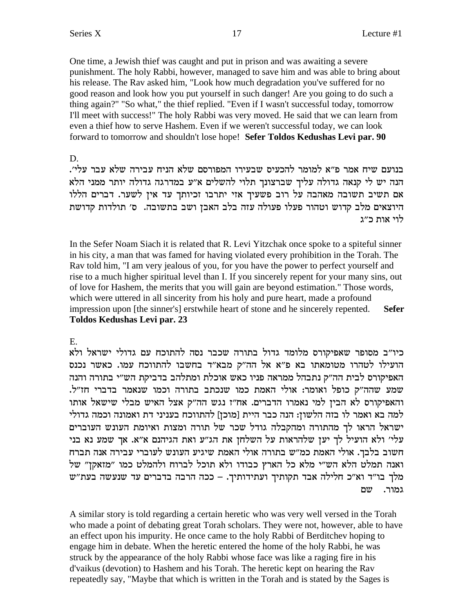One time, a Jewish thief was caught and put in prison and was awaiting a severe punishment. The holy Rabbi, however, managed to save him and was able to bring about his release. The Rav asked him, "Look how much degradation you've suffered for no good reason and look how you put yourself in such danger! Are you going to do such a thing again?" "So what," the thief replied. "Even if I wasn't successful today, tomorrow I'll meet with success!" The holy Rabbi was very moved. He said that we can learn from even a thief how to serve Hashem. Even if we weren't successful today, we can look forward to tomorrow and shouldn't lose hope! Sefer Toldos Kedushas Levi par. 90

 $D_{\alpha}$ 

בנועם שיח אמר פ״א למומר להכעיס שבעירו המפורסם שלא הניח עבירה שלא עבר עלי׳. הנה יש לי קנאה גדולה עליך שברצונך תלוי להשלים א"ע במדרגה גדולה יותר ממני הלא אם תשיב תשובה מאהבה על רוב פשעיך אזי יתרבו זכיותך עד אין לשער. דברים הללו היוצאים מלב קדוש וטהור פעלו פעולה עזה בלב האבן ושב בתשובה. ס׳ תולדות קדושת לוי אות כ״ג

In the Sefer Noam Siach it is related that R. Levi Yitzchak once spoke to a spiteful sinner in his city, a man that was famed for having violated every prohibition in the Torah. The Rav told him, "I am very jealous of you, for you have the power to perfect yourself and rise to a much higher spiritual level than I. If you sincerely repent for your many sins, out of love for Hashem, the merits that you will gain are beyond estimation." Those words, which were uttered in all sincerity from his holy and pure heart, made a profound impression upon [the sinner's] erstwhile heart of stone and he sincerely repented. **Sefer Toldos Kedushas Levi par. 23** 

### Ε.

כיו"ב מסופר שאפיקורס מלומד גדול בתורה שכבר נסה להתוכח עם גדולי ישראל ולא הועילו לטהרו מטומאתו בא פ"א אל הה"ק מבא"ד בחשבו להתווכח עמו. כאשר נכנס האפיקורס לבית הה״ק נתבהל ממראה פניו כאש אוכלת ומתלהב בדביקת הש״י בתורה והנה שמע שהה"ק כופל ואומר: אולי האמת כמו שנכתב בתורה וכמו שנאמר בדברי חז"ל. והאפיקורס לא הבין למי נאמרו הדברים. אח"ז נגש הה"ק אצל האיש מבלי שישאל אותו למה בא ואמר לו בזה הלשון: הנה כבר היית [מוכן] להתווכח בעניני דת ואמונה וכמה גדולי ישראל הראו לך מהתורה ומהקבלה גודל שכר של תורה ומצות ואיומת העונש העוברים עלי׳ ולא הועיל לך יען שלהראות על השלחן את הג״ע ואת הגיהנם א״א. אך שמע נא בני חשוב בלבך. אולי האמת כמ״ש בתורה אולי האמת שיגיע העונש לעוברי עבירה אנה תברח ואנה תמלט הלא הש"י מלא כל הארץ כבודו ולא תוכל לברוח ולהמלט כמו "מזאקן" של מלך בו"ד וא"כ חלילה אבד תקותיך ועתידותיך. – ככה הרבה בדברים עד שנעשה בעת"ש גמור. שם

A similar story is told regarding a certain heretic who was very well versed in the Torah who made a point of debating great Torah scholars. They were not, however, able to have an effect upon his impurity. He once came to the holy Rabbi of Berditchev hoping to engage him in debate. When the heretic entered the home of the holy Rabbi, he was struck by the appearance of the holy Rabbi whose face was like a raging fire in his d'vaikus (devotion) to Hashem and his Torah. The heretic kept on hearing the Rav repeatedly say, "Maybe that which is written in the Torah and is stated by the Sages is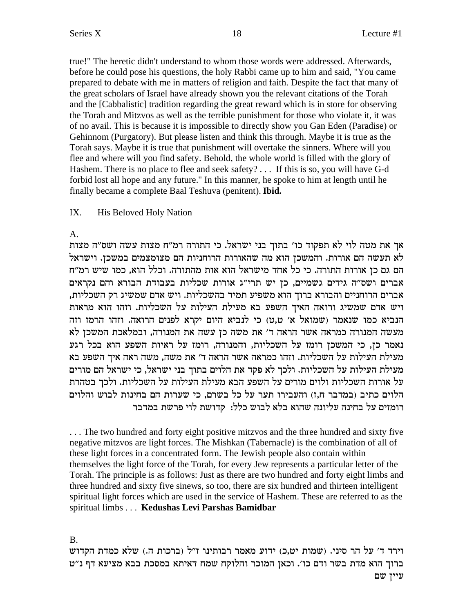true!" The heretic didn't understand to whom those words were addressed. Afterwards, before he could pose his questions, the holy Rabbi came up to him and said, "You came prepared to debate with me in matters of religion and faith. Despite the fact that many of the great scholars of Israel have already shown you the relevant citations of the Torah and the [Cabbalistic] tradition regarding the great reward which is in store for observing the Torah and Mitzvos as well as the terrible punishment for those who violate it, it was of no avail. This is because it is impossible to directly show you Gan Eden (Paradise) or Gehinnom (Purgatory). But please listen and think this through. Maybe it is true as the Torah says. Maybe it is true that punishment will overtake the sinners. Where will you flee and where will you find safety. Behold, the whole world is filled with the glory of Hashem. There is no place to flee and seek safety? . . . If this is so, you will have G-d forbid lost all hope and any future." In this manner, he spoke to him at length until he finally became a complete Baal Teshuva (penitent). Ibid.

#### IX. His Beloved Holy Nation

#### $A<sub>1</sub>$

אך את מטה לוי לא תפקוד כו' בתוך בני ישראל. כי התורה רמ"ח מצות עשה ושס"ה מצות לא תעשה הם אורות. והמשכן הוא מה שהאורות הרוחניות הם מצומצמים במשכן. וישראל הם גם כן אורות התורה. כי כל אחד מישראל הוא אות מהתורה. וכלל הוא, כמו שיש רמ״ח אברים ושס"ה גידים גשמיים, כן יש תרי"ג אורות שכליות בעבודת הבורא והם נקראים אברים הרוחניים והבורא ברוך הוא משפיע תמיד בהשכליות. ויש אדם שמשיג רק השכליות, ויש אדם שמשיג ורואה האיך השפע בא מעילת העילות על השכליות. וזהו הוא מראות הנביא כמו שנאמר (שמואל א׳ ט,ט) כי לנביא היום יקרא לפנים הרואה. וזהו הרמז וזה מעשה המנורה כמראה אשר הראה ד' את משה כן עשה את המנורה, ובמלאכת המשכן לא נאמר כן, כי המשכן רומז על השכליות, והמנורה, רומז על ראיות השפע הוא בכל רגע מעילת העילות על השכליות. וזהו כמראה אשר הראה ד׳ את משה, משה ראה איך השפע בא מעילת העילות על השכליות. ולכך לא פקד את הלוים בתוך בני ישראל, כי ישראל הם מורים על אורות השכליות ולוים מורים על השפע הבא מעילת העילות על השכליות. ולכך בטהרת הלוים כתיב (במדבר ח,ז) והעבירו תער על כל בשרם, כי שערות הם בחינות לבוש והלוים רומזים על בחינה עליונה שהוא בלא לבוש כלל: קדושת לוי פרשת במדבר

... The two hundred and forty eight positive mitzvos and the three hundred and sixty five negative mitzvos are light forces. The Mishkan (Tabernacle) is the combination of all of these light forces in a concentrated form. The Jewish people also contain within themselves the light force of the Torah, for every Jew represents a particular letter of the Torah. The principle is as follows: Just as there are two hundred and forty eight limbs and three hundred and sixty five sinews, so too, there are six hundred and thirteen intelligent spiritual light forces which are used in the service of Hashem. These are referred to as the spiritual limbs . . . Kedushas Levi Parshas Bamidbar

### **B.**

וירד ד' על הר סיני. (שמות יט,כ) ידוע מאמר רבותינו ז"ל (ברכות ה.) שלא כמדת הקדוש ברוך הוא מדת בשר ודם כו'. וכאן המוכר והלוקח שמח דאיתא במסכת בבא מציעא דף נ"ט עיין שם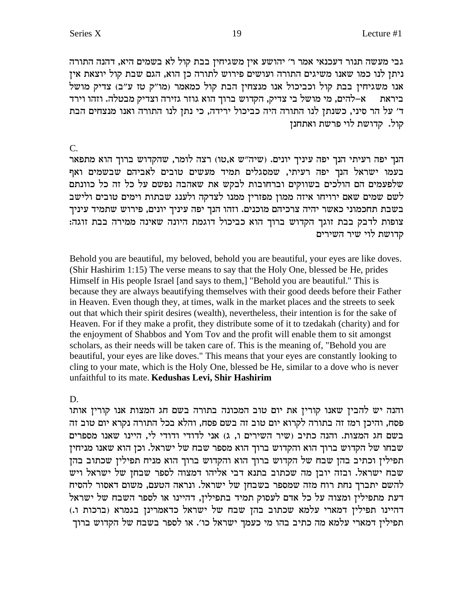גבי מעשה תנור דעכנאי אמר ר' יהושע אין משגיחין בבת קול לא בשמים היא, דהנה התורה ניתן לנו כמו שאנו משיגים התורה ועושים פירוש לתורה כן הוא, הגם שבת קול יוצאת אין אנו משגיחין בבת קול וכביכול אנו מנצחין הבת קול כמאמר (מו"ק טז ע"ב) צדיק מושל א–להים, מי מושל בי צדיק, הקדוש ברוך הוא גוזר גזירה וצדיק מבטלה. וזהו וירד ביראת ד' על הר סיני, כשנתן לנו התורה היה כביכול ירידה, כי נתן לנו התורה ואנו מנצחים הבת קול. קדושת לוי פרשת ואתחנן

 $C_{\cdot}$ 

הנך יפה רעיתי הנך יפה עיניך יונים. (שיה"ש א,טו) רצה לומר, שהקדוש ברוך הוא מתפאר בעמו ישראל הנד יפה רעיתי, שמסגלים תמיד מעשים טובים לאביהם שבשמים ואף שלפעמים הם הולכים בשווקים וברחובות לבקש את שאהבה נפשם על כל זה כל כוונתם לשם שמים שאם ירויחו איזה ממון מפזרין ממנו לצדקה ולענג שבתות וימים טובים ולישב בשבת תחכמוני כאשר יהיה צרכיהם מוכנים. וזהו הנך יפה עיניך יונים, פירוש שתמיד עיניך צופות לדבק בבת זוגך הקדוש ברוך הוא כביכול דוגמת היונה שאינה ממירה בבת זוגה: קדושת לוי שיר השירים

Behold you are beautiful, my beloved, behold you are beautiful, your eyes are like doves. (Shir Hashirim 1:15) The verse means to say that the Holy One, blessed be He, prides Himself in His people Israel [and says to them,] "Behold you are beautiful." This is because they are always beautifying themselves with their good deeds before their Father in Heaven. Even though they, at times, walk in the market places and the streets to seek out that which their spirit desires (wealth), nevertheless, their intention is for the sake of Heaven. For if they make a profit, they distribute some of it to tzedakah (charity) and for the enjoyment of Shabbos and Yom Tov and the profit will enable them to sit amongst scholars, as their needs will be taken care of. This is the meaning of, "Behold you are beautiful, your eyes are like doves." This means that your eyes are constantly looking to cling to your mate, which is the Holy One, blessed be He, similar to a dove who is never unfaithful to its mate. Kedushas Levi, Shir Hashirim

D.

והנה יש להבין שאנו קורין את יום טוב המכונה בתורה בשם חג המצות אנו קורין אותו פסח, והיכן רמז זה בתורה לקרוא יום טוב זה בשם פסח, והלא בכל התורה נקרא יום טוב זה בשם חג המצות. והנה כתיב (שיר השירים ו, ג) אני לדודי ודודי לי, היינו שאנו מספרים שבחו של הקדוש ברוך הוא והקדוש ברוך הוא מספר שבח של ישראל. וכן הוא שאנו מניחין תפילין וכתיב בהן שבח של הקדוש ברוך הוא והקדוש ברוך הוא מניח תפילין שכתוב בהן שבח ישראל. ובזה יובן מה שכתוב בתנא דבי אליהו דמצוה לספר שבחן של ישראל ויש להשם יתברך נחת רוח מזה שמספר בשבחן של ישראל. ונראה הטעם, משום דאסור להסיח דעת מתפילין ומצוה על כל אדם לעסוק תמיד בתפילין, דהיינו או לספר השבח של ישראל דהיינו תפילין דמארי עלמא שכתוב בהן שבח של ישראל כדאמרינן בגמרא (ברכות ו.) תפילין דמארי עלמא מה כתיב בהו מי כעמך ישראל כו׳. או לספר בשבח של הקדוש ברוך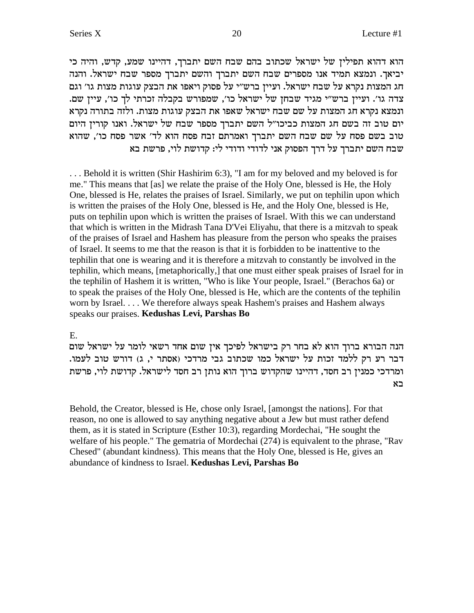הוא דהוא תפילין של ישראל שכתוב בהם שבח השם יתברך, דהיינו שמע, קדש, והיה כי יביאך. ונמצא תמיד אנו מספרים שבח השם יתברך והשם יתברך מספר שבח ישראל. והנה חג המצות נקרא על שבח ישראל. ועיין ברש״י על פסוק ויאפו את הבצק עוגות מצות גו׳ וגם צדה גו׳. ועיין ברש״י מגיד שבחן של ישראל כו׳, שמפורש בקבלה זכרתי לך כו׳, עיין שם. ונמצא נקרא חג המצות על שם שבח ישראל שאפו את הבצק עוגות מצות. ולזה בתורה נקרא יום טוב זה בשם חג המצות כביכו"ל השם יתברך מספר שבח של ישראל. ואנו קורין היום טוב בשם פסח על שם שבח השם יתברך ואמרתם זבח פסח הוא לד׳ אשר פסח כו׳, שהוא שבח השם יתברך על דרך הפסוק אני לדודי ודודי לי: קדושת לוי, פרשת בא

. . . Behold it is written (Shir Hashirim 6:3), "I am for my beloved and my beloved is for me." This means that [as] we relate the praise of the Holy One, blessed is He, the Holy One, blessed is He, relates the praises of Israel. Similarly, we put on tephilin upon which is written the praises of the Holy One, blessed is He, and the Holy One, blessed is He, puts on tephilin upon which is written the praises of Israel. With this we can understand that which is written in the Midrash Tana D'Vei Eliyahu, that there is a mitzvah to speak of the praises of Israel and Hashem has pleasure from the person who speaks the praises of Israel. It seems to me that the reason is that it is forbidden to be inattentive to the tephilin that one is wearing and it is therefore a mitzvah to constantly be involved in the tephilin, which means, [metaphorically,] that one must either speak praises of Israel for in the tephilin of Hashem it is written, "Who is like Your people, Israel." (Berachos 6a) or to speak the praises of the Holy One, blessed is He, which are the contents of the tephilin worn by Israel. . . . We therefore always speak Hashem's praises and Hashem always speaks our praises. **Kedushas Levi, Parshas Bo**

#### E.

הנה הבורא ברוך הוא לא בחר רק בישראל לפיכך אין שום אחד רשאי לומר על ישראל שום .<br>דבר רע רק ללמד זכות על ישראל כמו שכתוב גבי מרדכי (אסתר י, ג) דורש טוב לעמו ומרדכי כמנין רב חסד, דהיינו שהקדוש ברוך הוא נותן רב חסד לישראל. קדושת לוי, פרשת בא

Behold, the Creator, blessed is He, chose only Israel, [amongst the nations]. For that reason, no one is allowed to say anything negative about a Jew but must rather defend them, as it is stated in Scripture (Esther 10:3), regarding Mordechai, "He sought the welfare of his people." The gematria of Mordechai (274) is equivalent to the phrase, "Rav Chesed" (abundant kindness). This means that the Holy One, blessed is He, gives an abundance of kindness to Israel. **Kedushas Levi, Parshas Bo**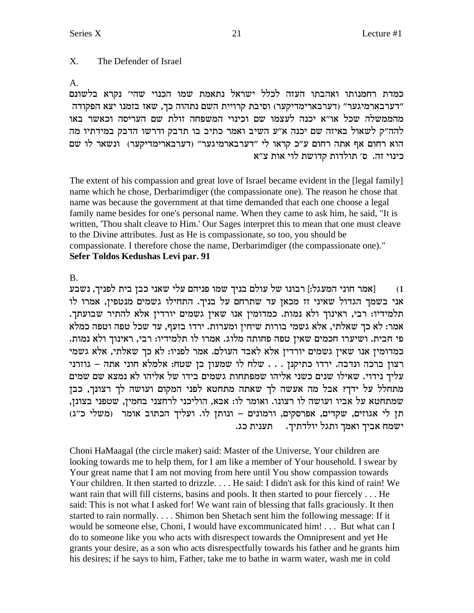Lecture #1

#### $X_{\cdot}$ The Defender of Israel

A.

כמדת רחמנותו ואהבתו העזה לכלל ישראל נתאמת שמו הכנוי שהי׳ נקרא בלשונם "דערבארמיגער" (דערבארימדיקער) וסיבת קרויית השם נתהוה כך, שאז בזמנו יצא הפקודה מהממשלה שכל או״א יכנה לעצמו שם וכינוי המשפחה זולת שם העריסה וכאשר באו להה"ק לשאול באיזה שם יכנה א"ע השיב ואמר כתיב בו תדבק ודרשו הדבק במידתיו מה הוא רחום אף אתה רחום ע"כ קראו לי "דערבארמיגער" (דערבארימדיקער) ונשאר לו שם כינוי זה. ס׳ תולדות קדושת לוי אות צ״א

The extent of his compassion and great love of Israel became evident in the [legal family] name which he chose, Derbarimdiger (the compassionate one). The reason he chose that name was because the government at that time demanded that each one choose a legal family name besides for one's personal name. When they came to ask him, he said, "It is written, 'Thou shalt cleave to Him.' Our Sages interpret this to mean that one must cleave to the Divine attributes. Just as He is compassionate, so too, you should be compassionate. I therefore chose the name, Derbarimdiger (the compassionate one)." Sefer Toldos Kedushas Levi par. 91

### **B.**

[אמר חוני המעגל:] רבונו של עולם בניך שמו פניהם עלי שאני כבן בית לפניך, נשבע  $(1)$ אני בשמך הגדול שאיני זז מכאן עד שתרחם על בניך. התחילו גשמים מנטפין, אמרו לו תלמידיו: רבי, ראינוך ולא נמות. כמדומין אנו שאין גשמים יורדין אלא להתיר שבועתך. אמר: לא כך שאלתי, אלא גשמי בורות שיחין ומערות. ירדו בזעף, עד שכל טפה וטפה כמלא פי חבית. ושיערו חכמים שאין טפה פחותה מלוג. אמרו לו תלמידיו: רבי, ראינוך ולא נמות. כמדומין אנו שאין גשמים יורדין אלא לאבד העולם. אמר לפניו: לא כך שאלתי, אלא גשמי רצון ברכה ונדבה. ירדו כתיקנן . . . שלח לו שמעון בן שטח: אלמלא חוני אתה – גוזרני עליך נידוי. שאילו שנים כשני אליהו שמפתחות גשמים בידו של אליהו לא נמצא שם שמים מתחלל על ידך? אבל מה אעשה לך שאתה מתחטא לפני המקום ועושה לך רצונך, כבן שמתחטא על אביו ועושה לו רצונו. ואומר לו: אבא, הוליכני לרחצני בחמין, שטפני בצונן, תן לי אגוזים, שקדים, אפרסקים, ורמונים - ונותן לו. ועליך הכתוב אומר (משלי כ"ג) ישמח אביך ואמך ותגל יולדתיך. תענית כג.

Choni HaMaagal (the circle maker) said: Master of the Universe, Your children are looking towards me to help them, for I am like a member of Your household. I swear by Your great name that I am not moving from here until You show compassion towards Your children. It then started to drizzle.... He said: I didn't ask for this kind of rain! We want rain that will fill cisterns, basins and pools. It then started to pour fiercely . . . He said: This is not what I asked for! We want rain of blessing that falls graciously. It then started to rain normally.... Shimon ben Shetach sent him the following message: If it would be someone else, Choni, I would have excommunicated him! . . . But what can I do to someone like you who acts with disrespect towards the Omnipresent and yet He grants your desire, as a son who acts disrespectfully towards his father and he grants him his desires; if he says to him, Father, take me to bathe in warm water, wash me in cold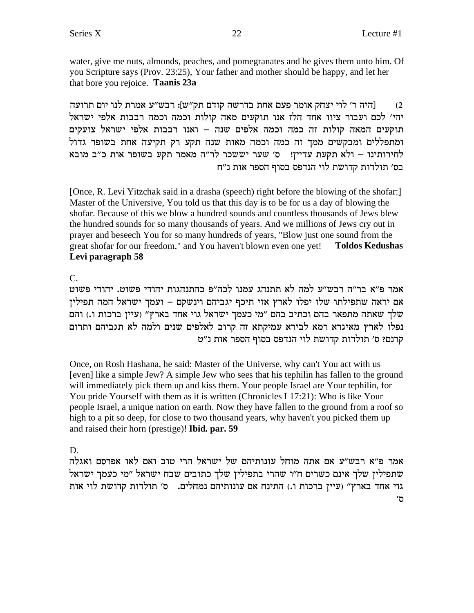water, give me nuts, almonds, peaches, and pomegranates and he gives them unto him. Of you Scripture says (Prov. 23:25), Your father and mother should be happy, and let her that bore you rejoice. Taanis 23a

[היה ר' לוי יצחק אומר פעם אחת בדרשה קודם תק"ש]: רבש"ע אמרת לנו יום תרועה  $(2)$ יהי' לכם ועבור ציוו אחד הלז אנו תוקעים מאה קולות וכמה וכמה רבבות אלפי ישראל תוקעים המאה קולות זה כמה וכמה אלפים שנה – ואנו רבבות אלפי ישראל צועקים ומתפללים ומבקשים ממך זה כמה וכמה מאות שנה תקע רק תקיעה אחת בשופר גדול לחירותינו – ולא תקעת עדיין! ס׳ שער יששכר לר״ה מאמר תקע בשופר אות כ״ב מובא בס׳ תולדות קדושת לוי הנדפס בסוף הספר אות נ״ח

[Once, R. Levi Yitzchak said in a drasha (speech) right before the blowing of the shofar: Master of the Universive, You told us that this day is to be for us a day of blowing the shofar. Because of this we blow a hundred sounds and countless thousands of Jews blew the hundred sounds for so many thousands of years. And we millions of Jews cry out in prayer and beseech You for so many hundreds of years, "Blow just one sound from the great shofar for our freedom," and You haven't blown even one yet! Toldos Kedushas Levi paragraph 58

 $C_{\cdot}$ 

אמר פ״א בר״ה רבש״ע למה לא תתנהג עמנו לכה״פ כהתנהגות יהודי פשוט. יהודי פשוט אם יראה שתפילתו שלו יפלו לארץ אזי תיכף יגביהם וינשקם – ועמך ישראל המה תפילין שלך שאתה מתפאר בהם וכתיב בהם "מי כעמך ישראל גוי אחד בארץ" (עיין ברכות ו.) והם נפלו לארץ מאיגרא רמא לבירא עמיקתא זה קרוב לאלפים שנים ולמה לא תגביהם ותרום קרנם? ס׳ תולדות קדושת לוי הנדפס בסוף הספר אות נ״ט

Once, on Rosh Hashana, he said: Master of the Universe, why can't You act with us [even] like a simple Jew? A simple Jew who sees that his tephilin has fallen to the ground will immediately pick them up and kiss them. Your people Israel are Your tephilin, for You pride Yourself with them as it is written (Chronicles I 17:21): Who is like Your people Israel, a unique nation on earth. Now they have fallen to the ground from a roof so high to a pit so deep, for close to two thousand years, why haven't you picked them up and raised their horn (prestige)! Ibid. par. 59

D.

אמר פ״א רבש״ע אם אתה מוחל עונותיהם של ישראל הרי טוב ואם לאו אפרסם ואגלה שתפילין שלך אינם כשרים ח"ו שהרי בתפילין שלך כתובים שבח ישראל "מי כעמך ישראל גוי אחד בארץ" (עיין ברכות ו.) התינח אם עונותיהם נמחלים. ס' תולדות קדושת לוי אות

 $\sigma'$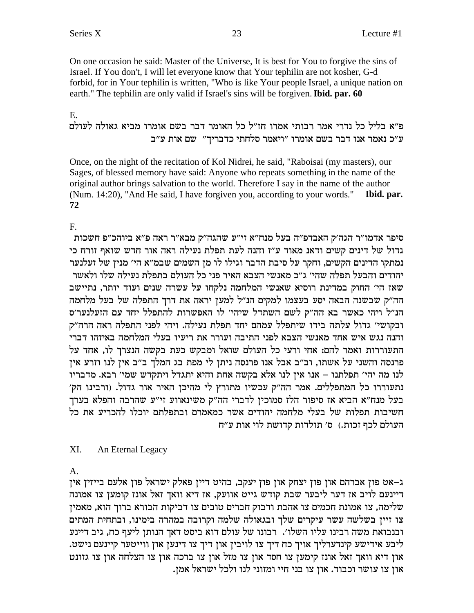On one occasion he said: Master of the Universe, It is best for You to forgive the sins of Israel. If You don't, I will let everyone know that Your tephilin are not kosher, G-d forbid, for in Your tephilin is written, "Who is like Your people Israel, a unique nation on earth." The tephilin are only valid if Israel's sins will be forgiven. Ibid. par. 60

# $E.$

# פ״א בליל כל נדרי אמר רבותי אמרו חז״ל כל האומר דבר בשם אומרו מביא גאולה לעולם ע"כ נאמר אנו דבר בשם אומרו "ויאמר סלחתי כדבריך" שם אות ע"ב

Once, on the night of the recitation of Kol Nidrei, he said, "Raboisai (my masters), our Sages, of blessed memory have said: Anyone who repeats something in the name of the original author brings salvation to the world. Therefore I say in the name of the author (Num. 14:20), "And He said, I have forgiven you, according to your words." Ibid. par. 72

# $F<sub>r</sub>$

סיפר אדמו"ר הגה'ק האבדפ"ה בעל מנח"א זי"ע שהגה"ק מבא"ר ראה פ"א ביוהכ"פ חשכות גדול של דינים קשים ודאנ מאוד ע"ז והנה לעת תפלת נעילה ראה אור חדש שואף זורח כי נמתקו הדינים הקשים, וחקר על סיבת הדבר וגילו לו מן השמים שבמ״א הי׳ מנין של זעלנער יהודים והבעל תפלה שהי׳ ג״כ מאנשי הצבא האיר פני כל העולם בתפלת נעילה שלו ולאשר שאז הי' החוק במדינת רוסיא שאנשי המלחמה נלקחו על עשרה שנים ועוד יותר, נתיישב הה"ק שבשנה הבאה יסע בעצמו למקים הנ"ל למען יראה את דרך התפלה של בעל מלחמה הנ"ל ויהי כאשר בא הה"ק לשם השתדל שיהי' לו האפשרות להתפלל יחד עם הזעלנער'ס ובקושי׳ גדול עלתה בידו שיתפלל עמהם יחד תפלת נעילה. ויהי לפני התפלה ראה הרה״ק והנה נגש איש אחד מאנשי הצבא לפני התיבה ועורר את ריעיו בעלי המלחמה באיזהו דברי התעוררות ואמר להם: אחי ורעי כל העולם שואל ומבקש כעת בקשה הנצרך לו, אחד על פרנסה והשני על אשתו, וב"ב אבל אנו פרנסה ניתן לי מפת בג המלך ב"ב אין לנו וזרע אין לנו מה יהי' תפלתנו – אנו אין לנו אלא בקשה אחת והיא יתגדל ויתקדש שמי' רבא. מדבריו נתעוררו כל המתפללים. אמר הה"ק עכשיו מתורץ לי מהיכן האיר אור גדול. (ורבינו הק' בעל מנח"א הביא אז סיפור הלז סמוכין לדברי הה"ק משינאווע זי"ע שהרבה והפלא בערך חשיבות תפלות של בעלי מלחמה יהודים אשר כמאמרם ובתפלתם יוכלו להכריע את כל העולם לכף זכות.) ס׳ תולדות קדושת לוי אות ע״ח

#### XI. An Eternal Legacy

 $A_{1}$ 

ג-אט פון אברהם און פון יצחק און פון יעקב, בהיט דיין פאלק ישראל פון אלעם בייזין אין דיינעם לויב אז דער ליבער שבת קודש גייט אוועק, אז דיא וואך זאל אונז קומען צו אמונה שלימה, צו אמונת חכמים צו אהבת ודבוק חברים טובים צו דביקות הבורא ברוך הוא, מאמין צו זיין בשלשה עשר עיקרים שלך ובגאולה שלמה וקרובה במהרה בימינו, ובתחית המתים ובנבואת משה רבינו עליו השלו׳. רבונו של עולם דוא ביסט דאך הנותן ליעף כח, גיב דיינע ליבע אידישע קינדערליך אויך כח דיך צו לויבין און דיך צו דינען און ווייטער קיינעם נישט. און דיא וואך זאל אונז קימען צו חסד און צו מזל און צו ברכה און צו הצלחה און צו גזונט און צו עושר וכבוד. און צו בני חיי ומזוני לנו ולכל ישראל אמן.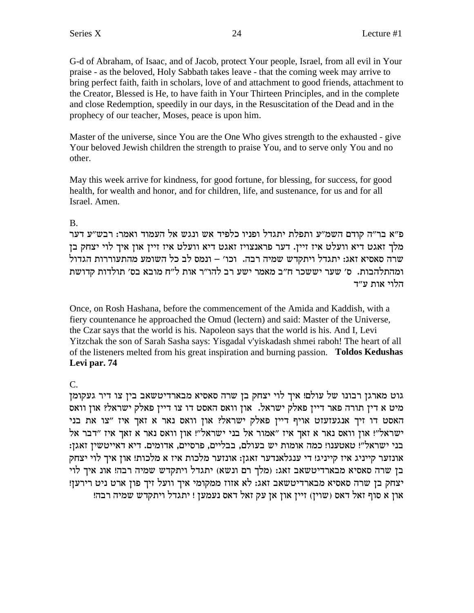הלוי אות ע״ד

G-d of Abraham, of Isaac, and of Jacob, protect Your people, Israel, from all evil in Your praise - as the beloved, Holy Sabbath takes leave - that the coming week may arrive to bring perfect faith, faith in scholars, love of and attachment to good friends, attachment to the Creator, Blessed is He, to have faith in Your Thirteen Principles, and in the complete and close Redemption, speedily in our days, in the Resuscitation of the Dead and in the prophecy of our teacher, Moses, peace is upon him.

24

Master of the universe, since You are the One Who gives strength to the exhausted - give Your beloved Jewish children the strength to praise You, and to serve only You and no other.

health, for wealth and honor, and for children, life, and sustenance, for us and for all Israel. Amen.

May this week arrive for kindness, for good fortune, for blessing, for success, for good

פ״א בר״ה קודם השמ״ע ותפלת יתגדל ופניו כלפיד אש ונגש אל העמוד ואמר: רבש״ע דער מלך זאגט דיא וועלט איז זיין. דער פראנצויז זאגט דיא וועלט איז זיין און איך לוי יצחק בן שרה סאסיא זאג: יתגדל ויתקדש שמיה רבה. וכו' – ונמס לב כל השומע מהתעוררות הגדול ומהתלהבות. ס׳ שער יששכר ח״ב מאמר ישע רב להו״ר אות ל״ח מובא בס׳ תולדות קדושת

Once, on Rosh Hashana, before the commencement of the Amida and Kaddish, with a fiery countenance he approached the Omud (lectern) and said: Master of the Universe, the Czar says that the world is his. Napoleon says that the world is his. And I, Levi

Yitzchak the son of Sarah Sasha says: Yisgadal v'yiskadash shmei raboh! The heart of all of the listeners melted from his great inspiration and burning passion. Toldos Kedushas

גוט מארגן רבונו של עולם! איך לוי יצחק בן שרה סאסיא מבארדיטשאב בין צו דיר געקומן מיט א דין תורה פאר דיין פאלק ישראל. און וואס האסט דו צו דיין פאלק ישראל? און וואס האסט דו זיך אנגעזעזט אויף דיין פאלק ישראל? און וואס נאר א זאך איז "צו את בני ישראל״! און ישראל״! און האס נאר א א און איז ארבר אל ישראל״! און האס האר האר האר האר הא בני ישראל"! טאטענו! כמה אומות יש בעולם, בבליים, פרסיים, אדומים. דיא דאייטשין זאגן: אונזער קייניג איז קייניג! די ענגלאנדער זאגן: אונזער מלכות איז א מלכות! און איך לוי יצחק בן שרה סאסיא מבארדיטשאב זאג: (מלך רם ונשא) יתגדל ויתקדש שמיה רבה! אונ איך לוי יצחק בן שרה סאסיא מבארדיטשאב זאג: לא אזוז ממקומי איך וועל זיך פון ארט ניט רירען!

און א סוף זאל דאס (שוין) זיין און אן עק זאל דאס נעמען ! יתגדל ויתקדש שמיה רבה!

 $\mathbf{R}$ 

Levi par. 74

 $\overline{C}$